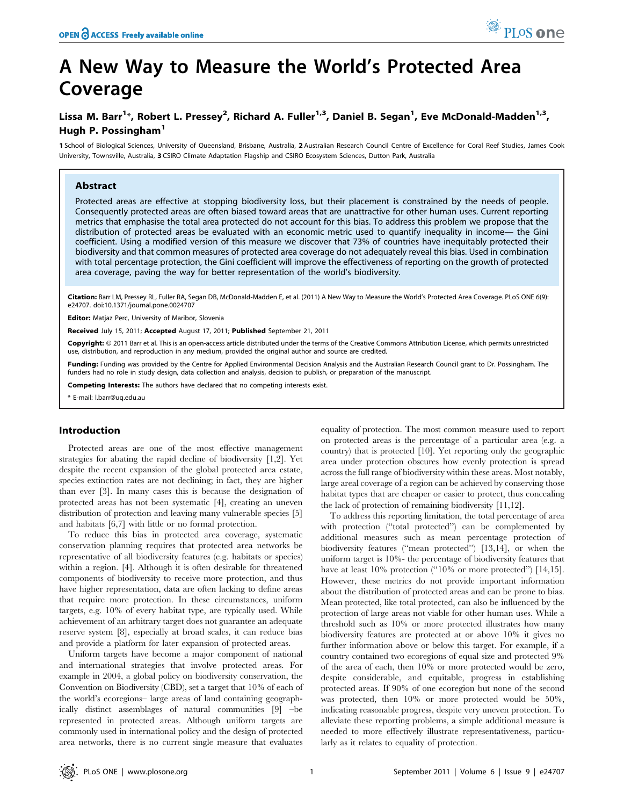# A New Way to Measure the World's Protected Area Coverage

# Lissa M. Barr<sup>1</sup>\*, Robert L. Pressey<sup>2</sup>, Richard A. Fuller<sup>1,3</sup>, Daniel B. Segan<sup>1</sup>, Eve McDonald-Madden<sup>1,3</sup>, Hugh P. Possingham<sup>1</sup>

1 School of Biological Sciences, University of Queensland, Brisbane, Australia, 2 Australian Research Council Centre of Excellence for Coral Reef Studies, James Cook University, Townsville, Australia, 3 CSIRO Climate Adaptation Flagship and CSIRO Ecosystem Sciences, Dutton Park, Australia

# Abstract

Protected areas are effective at stopping biodiversity loss, but their placement is constrained by the needs of people. Consequently protected areas are often biased toward areas that are unattractive for other human uses. Current reporting metrics that emphasise the total area protected do not account for this bias. To address this problem we propose that the distribution of protected areas be evaluated with an economic metric used to quantify inequality in income— the Gini coefficient. Using a modified version of this measure we discover that 73% of countries have inequitably protected their biodiversity and that common measures of protected area coverage do not adequately reveal this bias. Used in combination with total percentage protection, the Gini coefficient will improve the effectiveness of reporting on the growth of protected area coverage, paving the way for better representation of the world's biodiversity.

Citation: Barr LM, Pressey RL, Fuller RA, Segan DB, McDonald-Madden E, et al. (2011) A New Way to Measure the World's Protected Area Coverage. PLoS ONE 6(9): e24707. doi:10.1371/journal.pone.0024707

Editor: Matjaz Perc, University of Maribor, Slovenia

Received July 15, 2011; Accepted August 17, 2011; Published September 21, 2011

Copyright: © 2011 Barr et al. This is an open-access article distributed under the terms of the Creative Commons Attribution License, which permits unrestricted use, distribution, and reproduction in any medium, provided the original author and source are credited.

Funding: Funding was provided by the Centre for Applied Environmental Decision Analysis and the Australian Research Council grant to Dr. Possingham. The funders had no role in study design, data collection and analysis, decision to publish, or preparation of the manuscript.

Competing Interests: The authors have declared that no competing interests exist.

\* E-mail: l.barr@uq.edu.au

### Introduction

Protected areas are one of the most effective management strategies for abating the rapid decline of biodiversity [1,2]. Yet despite the recent expansion of the global protected area estate, species extinction rates are not declining; in fact, they are higher than ever [3]. In many cases this is because the designation of protected areas has not been systematic [4], creating an uneven distribution of protection and leaving many vulnerable species [5] and habitats [6,7] with little or no formal protection.

To reduce this bias in protected area coverage, systematic conservation planning requires that protected area networks be representative of all biodiversity features (e.g. habitats or species) within a region. [4]. Although it is often desirable for threatened components of biodiversity to receive more protection, and thus have higher representation, data are often lacking to define areas that require more protection. In these circumstances, uniform targets, e.g. 10% of every habitat type, are typically used. While achievement of an arbitrary target does not guarantee an adequate reserve system [8], especially at broad scales, it can reduce bias and provide a platform for later expansion of protected areas.

Uniform targets have become a major component of national and international strategies that involve protected areas. For example in 2004, a global policy on biodiversity conservation, the Convention on Biodiversity (CBD), set a target that 10% of each of the world's ecoregions– large areas of land containing geographically distinct assemblages of natural communities [9] –be represented in protected areas. Although uniform targets are commonly used in international policy and the design of protected area networks, there is no current single measure that evaluates

equality of protection. The most common measure used to report on protected areas is the percentage of a particular area (e.g. a country) that is protected [10]. Yet reporting only the geographic area under protection obscures how evenly protection is spread across the full range of biodiversity within these areas. Most notably, large areal coverage of a region can be achieved by conserving those habitat types that are cheaper or easier to protect, thus concealing the lack of protection of remaining biodiversity [11,12].

To address this reporting limitation, the total percentage of area with protection ("total protected") can be complemented by additional measures such as mean percentage protection of biodiversity features (''mean protected'') [13,14], or when the uniform target is 10%- the percentage of biodiversity features that have at least 10% protection ("10% or more protected") [14,15]. However, these metrics do not provide important information about the distribution of protected areas and can be prone to bias. Mean protected, like total protected, can also be influenced by the protection of large areas not viable for other human uses. While a threshold such as 10% or more protected illustrates how many biodiversity features are protected at or above 10% it gives no further information above or below this target. For example, if a country contained two ecoregions of equal size and protected 9% of the area of each, then 10% or more protected would be zero, despite considerable, and equitable, progress in establishing protected areas. If 90% of one ecoregion but none of the second was protected, then 10% or more protected would be 50%, indicating reasonable progress, despite very uneven protection. To alleviate these reporting problems, a simple additional measure is needed to more effectively illustrate representativeness, particularly as it relates to equality of protection.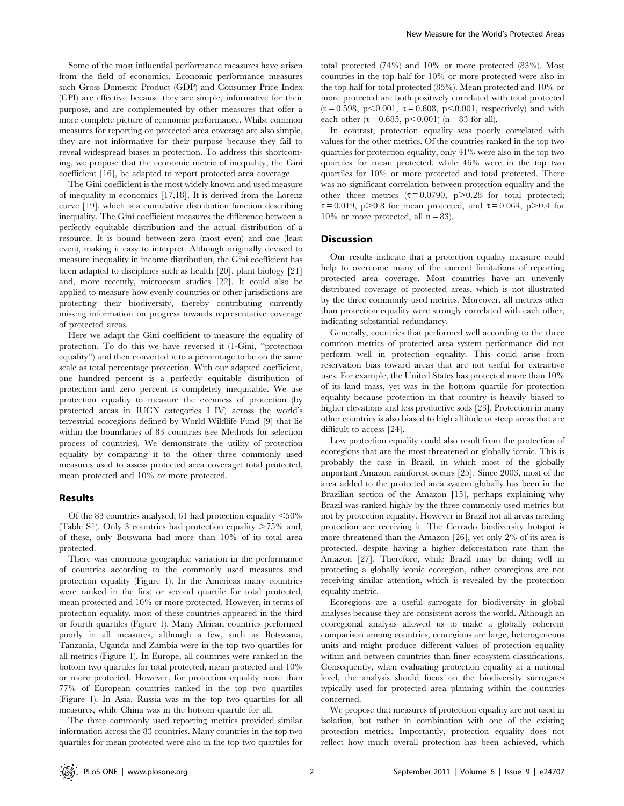Some of the most influential performance measures have arisen from the field of economics. Economic performance measures such Gross Domestic Product (GDP) and Consumer Price Index (CPI) are effective because they are simple, informative for their purpose, and are complemented by other measures that offer a more complete picture of economic performance. Whilst common measures for reporting on protected area coverage are also simple, they are not informative for their purpose because they fail to reveal widespread biases in protection. To address this shortcoming, we propose that the economic metric of inequality, the Gini coefficient [16], be adapted to report protected area coverage.

The Gini coefficient is the most widely known and used measure of inequality in economics [17,18]. It is derived from the Lorenz curve [19], which is a cumulative distribution function describing inequality. The Gini coefficient measures the difference between a perfectly equitable distribution and the actual distribution of a resource. It is bound between zero (most even) and one (least even), making it easy to interpret. Although originally devised to measure inequality in income distribution, the Gini coefficient has been adapted to disciplines such as health [20], plant biology [21] and, more recently, microcosm studies [22]. It could also be applied to measure how evenly countries or other jurisdictions are protecting their biodiversity, thereby contributing currently missing information on progress towards representative coverage of protected areas.

Here we adapt the Gini coefficient to measure the equality of protection. To do this we have reversed it (1-Gini, ''protection equality'') and then converted it to a percentage to be on the same scale as total percentage protection. With our adapted coefficient, one hundred percent is a perfectly equitable distribution of protection and zero percent is completely inequitable. We use protection equality to measure the evenness of protection (by protected areas in IUCN categories I–IV) across the world's terrestrial ecoregions defined by World Wildlife Fund [9] that lie within the boundaries of 83 countries (see Methods for selection process of countries). We demonstrate the utility of protection equality by comparing it to the other three commonly used measures used to assess protected area coverage: total protected, mean protected and 10% or more protected.

### Results

Of the 83 countries analysed, 61 had protection equality  $<50\%$ (Table S1). Only 3 countries had protection equality  $>75\%$  and, of these, only Botswana had more than 10% of its total area protected.

There was enormous geographic variation in the performance of countries according to the commonly used measures and protection equality (Figure 1). In the Americas many countries were ranked in the first or second quartile for total protected, mean protected and 10% or more protected. However, in terms of protection equality, most of these countries appeared in the third or fourth quartiles (Figure 1). Many African countries performed poorly in all measures, although a few, such as Botswana, Tanzania, Uganda and Zambia were in the top two quartiles for all metrics (Figure 1). In Europe, all countries were ranked in the bottom two quartiles for total protected, mean protected and 10% or more protected. However, for protection equality more than 77% of European countries ranked in the top two quartiles (Figure 1). In Asia, Russia was in the top two quartiles for all measures, while China was in the bottom quartile for all.

The three commonly used reporting metrics provided similar information across the 83 countries. Many countries in the top two quartiles for mean protected were also in the top two quartiles for

total protected (74%) and 10% or more protected (83%). Most countries in the top half for 10% or more protected were also in the top half for total protected (85%). Mean protected and 10% or more protected are both positively correlated with total protected  $(\tau = 0.598, p < 0.001, \tau = 0.608, p < 0.001, respectively)$  and with each other ( $\tau = 0.685$ , p $\leq 0.001$ ) (n = 83 for all).

In contrast, protection equality was poorly correlated with values for the other metrics. Of the countries ranked in the top two quartiles for protection equality, only 41% were also in the top two quartiles for mean protected, while 46% were in the top two quartiles for 10% or more protected and total protected. There was no significant correlation between protection equality and the other three metrics  $(\tau = 0.0790, p > 0.28$  for total protected;  $\tau = 0.019$ , p $> 0.8$  for mean protected; and  $\tau = 0.064$ , p $> 0.4$  for  $10\%$  or more protected, all  $n = 83$ ).

# Discussion

Our results indicate that a protection equality measure could help to overcome many of the current limitations of reporting protected area coverage. Most countries have an unevenly distributed coverage of protected areas, which is not illustrated by the three commonly used metrics. Moreover, all metrics other than protection equality were strongly correlated with each other, indicating substantial redundancy.

Generally, countries that performed well according to the three common metrics of protected area system performance did not perform well in protection equality. This could arise from reservation bias toward areas that are not useful for extractive uses. For example, the United States has protected more than 10% of its land mass, yet was in the bottom quartile for protection equality because protection in that country is heavily biased to higher elevations and less productive soils [23]. Protection in many other countries is also biased to high altitude or steep areas that are difficult to access [24].

Low protection equality could also result from the protection of ecoregions that are the most threatened or globally iconic. This is probably the case in Brazil, in which most of the globally important Amazon rainforest occurs [25]. Since 2003, most of the area added to the protected area system globally has been in the Brazilian section of the Amazon [15], perhaps explaining why Brazil was ranked highly by the three commonly used metrics but not by protection equality. However in Brazil not all areas needing protection are receiving it. The Cerrado biodiversity hotspot is more threatened than the Amazon [26], yet only 2% of its area is protected, despite having a higher deforestation rate than the Amazon [27]. Therefore, while Brazil may be doing well in protecting a globally iconic ecoregion, other ecoregions are not receiving similar attention, which is revealed by the protection equality metric.

Ecoregions are a useful surrogate for biodiversity in global analyses because they are consistent across the world. Although an ecoregional analysis allowed us to make a globally coherent comparison among countries, ecoregions are large, heterogeneous units and might produce different values of protection equality within and between countries than finer ecosystem classifications. Consequently, when evaluating protection equality at a national level, the analysis should focus on the biodiversity surrogates typically used for protected area planning within the countries concerned.

We propose that measures of protection equality are not used in isolation, but rather in combination with one of the existing protection metrics. Importantly, protection equality does not reflect how much overall protection has been achieved, which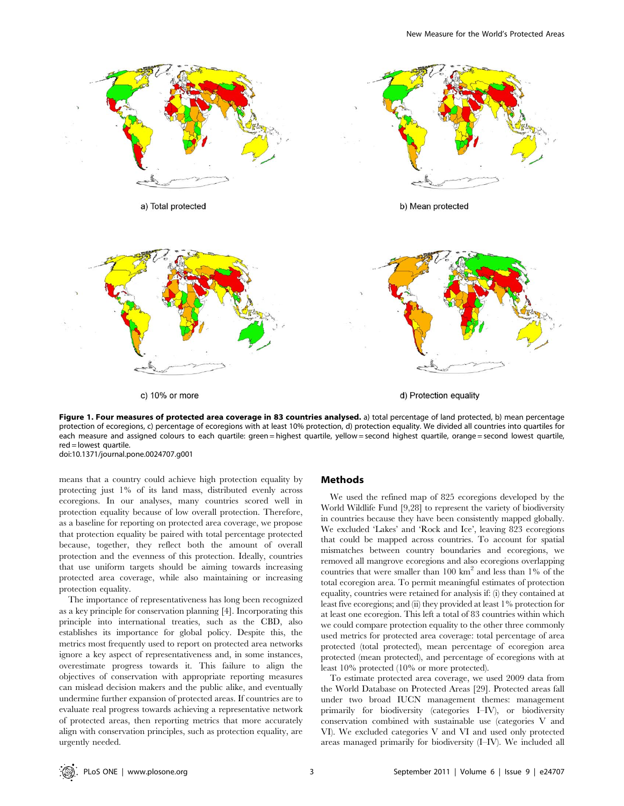

Figure 1. Four measures of protected area coverage in 83 countries analysed. a) total percentage of land protected, b) mean percentage protection of ecoregions, c) percentage of ecoregions with at least 10% protection, d) protection equality. We divided all countries into quartiles for each measure and assigned colours to each quartile: green = highest quartile, yellow = second highest quartile, orange = second lowest quartile, red = lowest quartile.

doi:10.1371/journal.pone.0024707.g001

means that a country could achieve high protection equality by protecting just 1% of its land mass, distributed evenly across ecoregions. In our analyses, many countries scored well in protection equality because of low overall protection. Therefore, as a baseline for reporting on protected area coverage, we propose that protection equality be paired with total percentage protected because, together, they reflect both the amount of overall protection and the evenness of this protection. Ideally, countries that use uniform targets should be aiming towards increasing protected area coverage, while also maintaining or increasing protection equality.

The importance of representativeness has long been recognized as a key principle for conservation planning [4]. Incorporating this principle into international treaties, such as the CBD, also establishes its importance for global policy. Despite this, the metrics most frequently used to report on protected area networks ignore a key aspect of representativeness and, in some instances, overestimate progress towards it. This failure to align the objectives of conservation with appropriate reporting measures can mislead decision makers and the public alike, and eventually undermine further expansion of protected areas. If countries are to evaluate real progress towards achieving a representative network of protected areas, then reporting metrics that more accurately align with conservation principles, such as protection equality, are urgently needed.

# Methods

We used the refined map of 825 ecoregions developed by the World Wildlife Fund [9,28] to represent the variety of biodiversity in countries because they have been consistently mapped globally. We excluded 'Lakes' and 'Rock and Ice', leaving 823 ecoregions that could be mapped across countries. To account for spatial mismatches between country boundaries and ecoregions, we removed all mangrove ecoregions and also ecoregions overlapping countries that were smaller than  $100 \text{ km}^2$  and less than  $1\%$  of the total ecoregion area. To permit meaningful estimates of protection equality, countries were retained for analysis if: (i) they contained at least five ecoregions; and (ii) they provided at least 1% protection for at least one ecoregion. This left a total of 83 countries within which we could compare protection equality to the other three commonly used metrics for protected area coverage: total percentage of area protected (total protected), mean percentage of ecoregion area protected (mean protected), and percentage of ecoregions with at least 10% protected (10% or more protected).

To estimate protected area coverage, we used 2009 data from the World Database on Protected Areas [29]. Protected areas fall under two broad IUCN management themes: management primarily for biodiversity (categories I–IV), or biodiversity conservation combined with sustainable use (categories V and VI). We excluded categories V and VI and used only protected areas managed primarily for biodiversity (I–IV). We included all